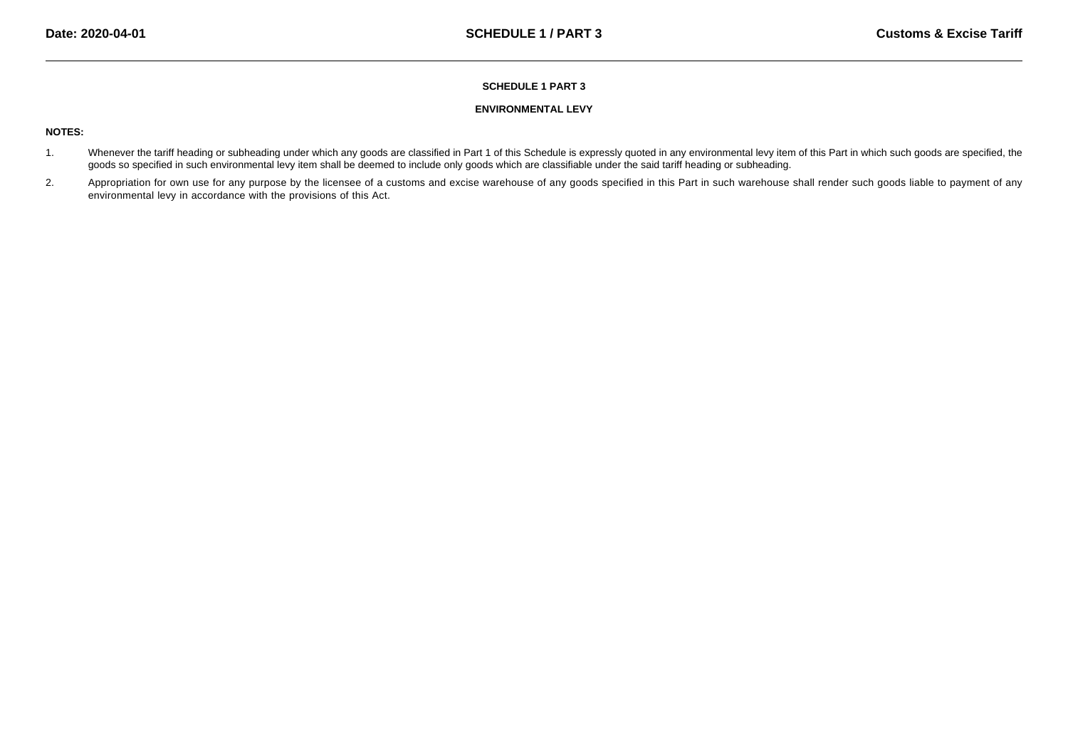### **SCHEDULE 1 PART 3**

### **ENVIRONMENTAL LEVY**

# **NOTES:**

- 1.Whenever the tariff heading or subheading under which any goods are classified in Part 1 of this Schedule is expressly quoted in any environmental levy item of this Part in which such goods are specified, the goods so specified in such environmental levy item shall be deemed to include only goods which are classifiable under the said tariff heading or subheading.
- 2.Appropriation for own use for any purpose by the licensee of a customs and excise warehouse of any goods specified in this Part in such warehouse shall render such goods liable to payment of any environmental levy in accordance with the provisions of this Act.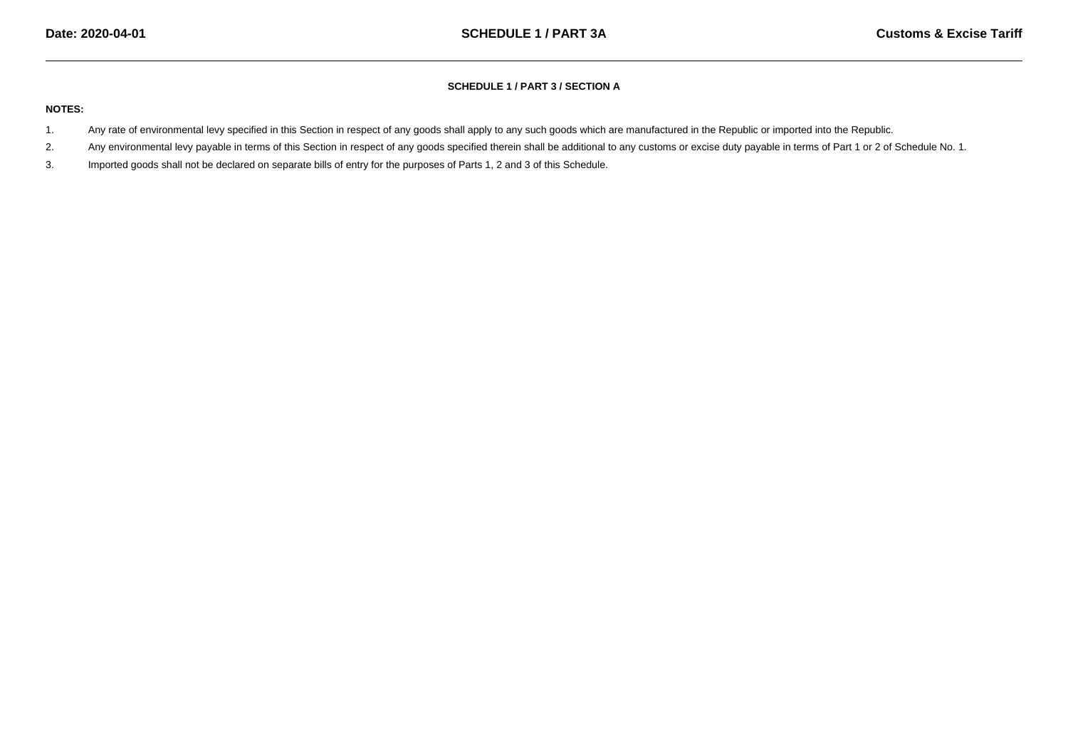# **SCHEDULE 1 / PART 3 / SECTION A**

### **NOTES:**

- 1.Any rate of environmental levy specified in this Section in respect of any goods shall apply to any such goods which are manufactured in the Republic or imported into the Republic.
- 2.Any environmental levy payable in terms of this Section in respect of any goods specified therein shall be additional to any customs or excise duty payable in terms of Part 1 or 2 of Schedule No. 1.
- 3.Imported goods shall not be declared on separate bills of entry for the purposes of Parts 1, 2 and 3 of this Schedule.